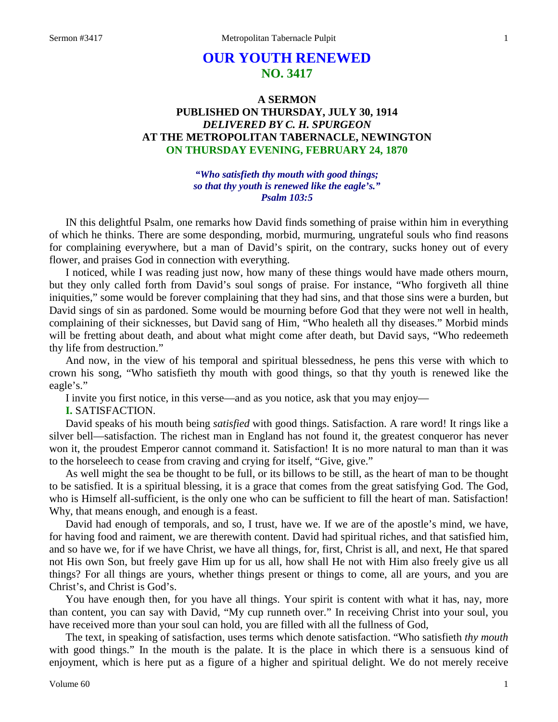# **OUR YOUTH RENEWED NO. 3417**

# **A SERMON PUBLISHED ON THURSDAY, JULY 30, 1914** *DELIVERED BY C. H. SPURGEON* **AT THE METROPOLITAN TABERNACLE, NEWINGTON ON THURSDAY EVENING, FEBRUARY 24, 1870**

*"Who satisfieth thy mouth with good things; so that thy youth is renewed like the eagle's." Psalm 103:5*

IN this delightful Psalm, one remarks how David finds something of praise within him in everything of which he thinks. There are some desponding, morbid, murmuring, ungrateful souls who find reasons for complaining everywhere, but a man of David's spirit, on the contrary, sucks honey out of every flower, and praises God in connection with everything.

I noticed, while I was reading just now, how many of these things would have made others mourn, but they only called forth from David's soul songs of praise. For instance, "Who forgiveth all thine iniquities," some would be forever complaining that they had sins, and that those sins were a burden, but David sings of sin as pardoned. Some would be mourning before God that they were not well in health, complaining of their sicknesses, but David sang of Him, "Who healeth all thy diseases." Morbid minds will be fretting about death, and about what might come after death, but David says, "Who redeemeth thy life from destruction."

And now, in the view of his temporal and spiritual blessedness, he pens this verse with which to crown his song, "Who satisfieth thy mouth with good things, so that thy youth is renewed like the eagle's."

I invite you first notice, in this verse—and as you notice, ask that you may enjoy—

**I.** SATISFACTION.

David speaks of his mouth being *satisfied* with good things. Satisfaction. A rare word! It rings like a silver bell—satisfaction. The richest man in England has not found it, the greatest conqueror has never won it, the proudest Emperor cannot command it. Satisfaction! It is no more natural to man than it was to the horseleech to cease from craving and crying for itself, "Give, give."

As well might the sea be thought to be full, or its billows to be still, as the heart of man to be thought to be satisfied. It is a spiritual blessing, it is a grace that comes from the great satisfying God. The God, who is Himself all-sufficient, is the only one who can be sufficient to fill the heart of man. Satisfaction! Why, that means enough, and enough is a feast.

David had enough of temporals, and so, I trust, have we. If we are of the apostle's mind, we have, for having food and raiment, we are therewith content. David had spiritual riches, and that satisfied him, and so have we, for if we have Christ, we have all things, for, first, Christ is all, and next, He that spared not His own Son, but freely gave Him up for us all, how shall He not with Him also freely give us all things? For all things are yours, whether things present or things to come, all are yours, and you are Christ's, and Christ is God's.

You have enough then, for you have all things. Your spirit is content with what it has, nay, more than content, you can say with David, "My cup runneth over." In receiving Christ into your soul, you have received more than your soul can hold, you are filled with all the fullness of God,

The text, in speaking of satisfaction, uses terms which denote satisfaction. "Who satisfieth *thy mouth*  with good things." In the mouth is the palate. It is the place in which there is a sensuous kind of enjoyment, which is here put as a figure of a higher and spiritual delight. We do not merely receive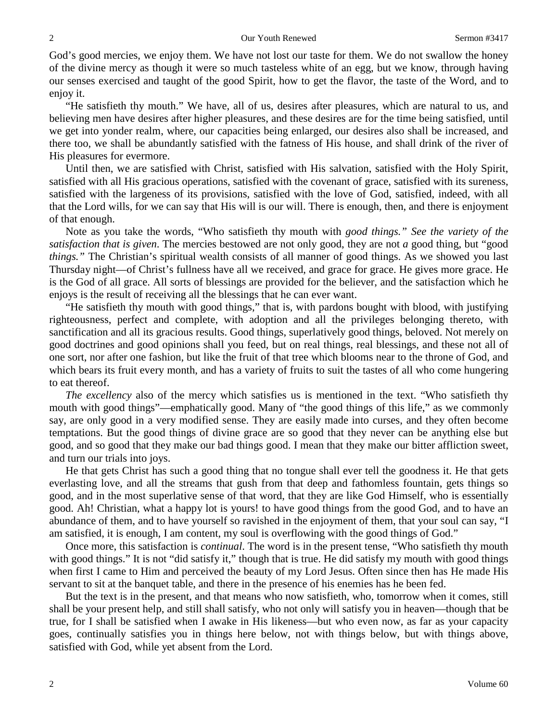God's good mercies, we enjoy them. We have not lost our taste for them. We do not swallow the honey of the divine mercy as though it were so much tasteless white of an egg, but we know, through having our senses exercised and taught of the good Spirit, how to get the flavor, the taste of the Word, and to enjoy it.

"He satisfieth thy mouth." We have, all of us, desires after pleasures, which are natural to us, and believing men have desires after higher pleasures, and these desires are for the time being satisfied, until we get into yonder realm, where, our capacities being enlarged, our desires also shall be increased, and there too, we shall be abundantly satisfied with the fatness of His house, and shall drink of the river of His pleasures for evermore.

Until then, we are satisfied with Christ, satisfied with His salvation, satisfied with the Holy Spirit, satisfied with all His gracious operations, satisfied with the covenant of grace, satisfied with its sureness, satisfied with the largeness of its provisions, satisfied with the love of God, satisfied, indeed, with all that the Lord wills, for we can say that His will is our will. There is enough, then, and there is enjoyment of that enough.

Note as you take the words, "Who satisfieth thy mouth with *good things." See the variety of the satisfaction that is given*. The mercies bestowed are not only good, they are not *a* good thing, but "good *things."* The Christian's spiritual wealth consists of all manner of good things. As we showed you last Thursday night—of Christ's fullness have all we received, and grace for grace. He gives more grace. He is the God of all grace. All sorts of blessings are provided for the believer, and the satisfaction which he enjoys is the result of receiving all the blessings that he can ever want.

"He satisfieth thy mouth with good things," that is, with pardons bought with blood, with justifying righteousness, perfect and complete, with adoption and all the privileges belonging thereto, with sanctification and all its gracious results. Good things, superlatively good things, beloved. Not merely on good doctrines and good opinions shall you feed, but on real things, real blessings, and these not all of one sort, nor after one fashion, but like the fruit of that tree which blooms near to the throne of God, and which bears its fruit every month, and has a variety of fruits to suit the tastes of all who come hungering to eat thereof.

*The excellency* also of the mercy which satisfies us is mentioned in the text. "Who satisfieth thy mouth with good things"—emphatically good. Many of "the good things of this life," as we commonly say, are only good in a very modified sense. They are easily made into curses, and they often become temptations. But the good things of divine grace are so good that they never can be anything else but good, and so good that they make our bad things good. I mean that they make our bitter affliction sweet, and turn our trials into joys.

He that gets Christ has such a good thing that no tongue shall ever tell the goodness it. He that gets everlasting love, and all the streams that gush from that deep and fathomless fountain, gets things so good, and in the most superlative sense of that word, that they are like God Himself, who is essentially good. Ah! Christian, what a happy lot is yours! to have good things from the good God, and to have an abundance of them, and to have yourself so ravished in the enjoyment of them, that your soul can say, "I am satisfied, it is enough, I am content, my soul is overflowing with the good things of God."

Once more, this satisfaction is *continual*. The word is in the present tense, "Who satisfieth thy mouth with good things." It is not "did satisfy it," though that is true. He did satisfy my mouth with good things when first I came to Him and perceived the beauty of my Lord Jesus. Often since then has He made His servant to sit at the banquet table, and there in the presence of his enemies has he been fed.

But the text is in the present, and that means who now satisfieth, who, tomorrow when it comes, still shall be your present help, and still shall satisfy, who not only will satisfy you in heaven—though that be true, for I shall be satisfied when I awake in His likeness—but who even now, as far as your capacity goes, continually satisfies you in things here below, not with things below, but with things above, satisfied with God, while yet absent from the Lord.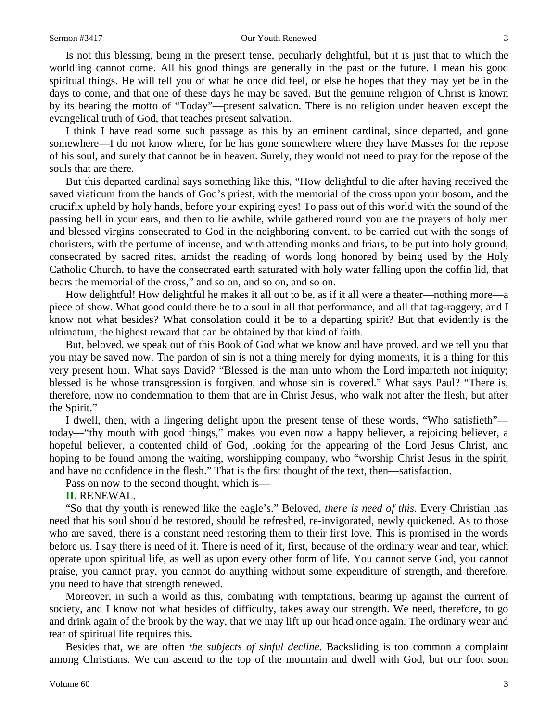#### Sermon #3417 **Our Youth Renewed** 3

Is not this blessing, being in the present tense, peculiarly delightful, but it is just that to which the worldling cannot come. All his good things are generally in the past or the future. I mean his good spiritual things. He will tell you of what he once did feel, or else he hopes that they may yet be in the days to come, and that one of these days he may be saved. But the genuine religion of Christ is known by its bearing the motto of "Today"—present salvation. There is no religion under heaven except the evangelical truth of God, that teaches present salvation.

I think I have read some such passage as this by an eminent cardinal, since departed, and gone somewhere—I do not know where, for he has gone somewhere where they have Masses for the repose of his soul, and surely that cannot be in heaven. Surely, they would not need to pray for the repose of the souls that are there.

But this departed cardinal says something like this, "How delightful to die after having received the saved viaticum from the hands of God's priest, with the memorial of the cross upon your bosom, and the crucifix upheld by holy hands, before your expiring eyes! To pass out of this world with the sound of the passing bell in your ears, and then to lie awhile, while gathered round you are the prayers of holy men and blessed virgins consecrated to God in the neighboring convent, to be carried out with the songs of choristers, with the perfume of incense, and with attending monks and friars, to be put into holy ground, consecrated by sacred rites, amidst the reading of words long honored by being used by the Holy Catholic Church, to have the consecrated earth saturated with holy water falling upon the coffin lid, that bears the memorial of the cross," and so on, and so on, and so on.

How delightful! How delightful he makes it all out to be, as if it all were a theater—nothing more—a piece of show. What good could there be to a soul in all that performance, and all that tag-raggery, and I know not what besides? What consolation could it be to a departing spirit? But that evidently is the ultimatum, the highest reward that can be obtained by that kind of faith.

But, beloved, we speak out of this Book of God what we know and have proved, and we tell you that you may be saved now. The pardon of sin is not a thing merely for dying moments, it is a thing for this very present hour. What says David? "Blessed is the man unto whom the Lord imparteth not iniquity; blessed is he whose transgression is forgiven, and whose sin is covered." What says Paul? "There is, therefore, now no condemnation to them that are in Christ Jesus, who walk not after the flesh, but after the Spirit."

I dwell, then, with a lingering delight upon the present tense of these words, "Who satisfieth" today—"thy mouth with good things," makes you even now a happy believer, a rejoicing believer, a hopeful believer, a contented child of God, looking for the appearing of the Lord Jesus Christ, and hoping to be found among the waiting, worshipping company, who "worship Christ Jesus in the spirit, and have no confidence in the flesh." That is the first thought of the text, then—satisfaction.

Pass on now to the second thought, which is—

#### **II.** RENEWAL.

"So that thy youth is renewed like the eagle's." Beloved, *there is need of this*. Every Christian has need that his soul should be restored, should be refreshed, re-invigorated, newly quickened. As to those who are saved, there is a constant need restoring them to their first love. This is promised in the words before us. I say there is need of it. There is need of it, first, because of the ordinary wear and tear, which operate upon spiritual life, as well as upon every other form of life. You cannot serve God, you cannot praise, you cannot pray, you cannot do anything without some expenditure of strength, and therefore, you need to have that strength renewed.

Moreover, in such a world as this, combating with temptations, bearing up against the current of society, and I know not what besides of difficulty, takes away our strength. We need, therefore, to go and drink again of the brook by the way, that we may lift up our head once again. The ordinary wear and tear of spiritual life requires this.

Besides that, we are often *the subjects of sinful decline*. Backsliding is too common a complaint among Christians. We can ascend to the top of the mountain and dwell with God, but our foot soon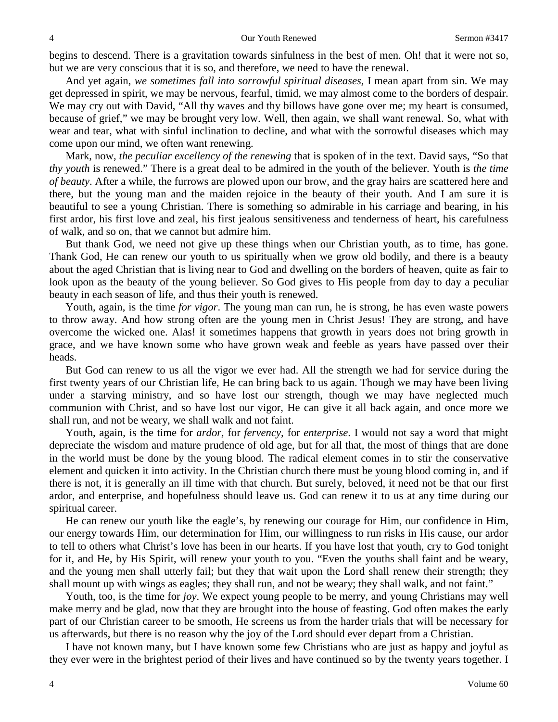begins to descend. There is a gravitation towards sinfulness in the best of men. Oh! that it were not so, but we are very conscious that it is so, and therefore, we need to have the renewal.

And yet again, *we sometimes fall into sorrowful spiritual diseases,* I mean apart from sin. We may get depressed in spirit, we may be nervous, fearful, timid, we may almost come to the borders of despair. We may cry out with David, "All thy waves and thy billows have gone over me; my heart is consumed, because of grief," we may be brought very low. Well, then again, we shall want renewal. So, what with wear and tear, what with sinful inclination to decline, and what with the sorrowful diseases which may come upon our mind, we often want renewing.

Mark, now, *the peculiar excellency of the renewing* that is spoken of in the text. David says, "So that *thy youth* is renewed." There is a great deal to be admired in the youth of the believer. Youth is *the time of beauty*. After a while, the furrows are plowed upon our brow, and the gray hairs are scattered here and there, but the young man and the maiden rejoice in the beauty of their youth. And I am sure it is beautiful to see a young Christian. There is something so admirable in his carriage and bearing, in his first ardor, his first love and zeal, his first jealous sensitiveness and tenderness of heart, his carefulness of walk, and so on, that we cannot but admire him.

But thank God, we need not give up these things when our Christian youth, as to time, has gone. Thank God, He can renew our youth to us spiritually when we grow old bodily, and there is a beauty about the aged Christian that is living near to God and dwelling on the borders of heaven, quite as fair to look upon as the beauty of the young believer. So God gives to His people from day to day a peculiar beauty in each season of life, and thus their youth is renewed.

Youth, again, is the time *for vigor*. The young man can run, he is strong, he has even waste powers to throw away. And how strong often are the young men in Christ Jesus! They are strong, and have overcome the wicked one. Alas! it sometimes happens that growth in years does not bring growth in grace, and we have known some who have grown weak and feeble as years have passed over their heads.

But God can renew to us all the vigor we ever had. All the strength we had for service during the first twenty years of our Christian life, He can bring back to us again. Though we may have been living under a starving ministry, and so have lost our strength, though we may have neglected much communion with Christ, and so have lost our vigor, He can give it all back again, and once more we shall run, and not be weary, we shall walk and not faint.

Youth, again, is the time for *ardor,* for *fervency,* for *enterprise*. I would not say a word that might depreciate the wisdom and mature prudence of old age, but for all that, the most of things that are done in the world must be done by the young blood. The radical element comes in to stir the conservative element and quicken it into activity. In the Christian church there must be young blood coming in, and if there is not, it is generally an ill time with that church. But surely, beloved, it need not be that our first ardor, and enterprise, and hopefulness should leave us. God can renew it to us at any time during our spiritual career.

He can renew our youth like the eagle's, by renewing our courage for Him, our confidence in Him, our energy towards Him, our determination for Him, our willingness to run risks in His cause, our ardor to tell to others what Christ's love has been in our hearts. If you have lost that youth, cry to God tonight for it, and He, by His Spirit, will renew your youth to you. "Even the youths shall faint and be weary, and the young men shall utterly fail; but they that wait upon the Lord shall renew their strength; they shall mount up with wings as eagles; they shall run, and not be weary; they shall walk, and not faint."

Youth, too, is the time for *joy*. We expect young people to be merry, and young Christians may well make merry and be glad, now that they are brought into the house of feasting. God often makes the early part of our Christian career to be smooth, He screens us from the harder trials that will be necessary for us afterwards, but there is no reason why the joy of the Lord should ever depart from a Christian.

I have not known many, but I have known some few Christians who are just as happy and joyful as they ever were in the brightest period of their lives and have continued so by the twenty years together. I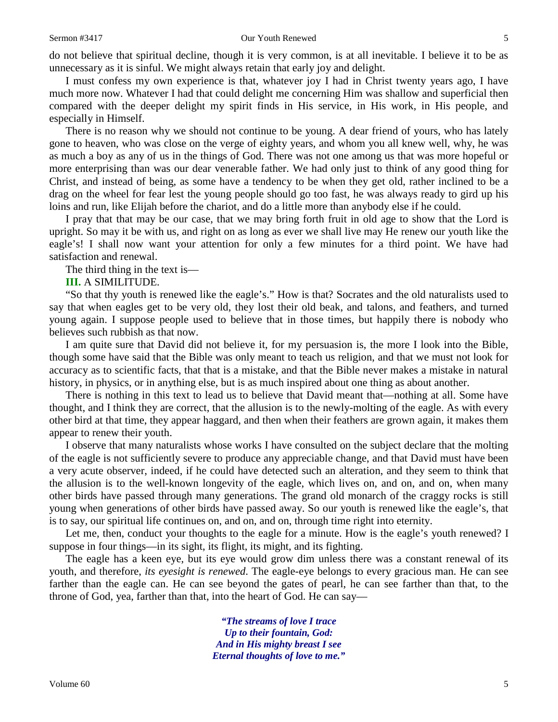do not believe that spiritual decline, though it is very common, is at all inevitable. I believe it to be as unnecessary as it is sinful. We might always retain that early joy and delight.

I must confess my own experience is that, whatever joy I had in Christ twenty years ago, I have much more now. Whatever I had that could delight me concerning Him was shallow and superficial then compared with the deeper delight my spirit finds in His service, in His work, in His people, and especially in Himself.

There is no reason why we should not continue to be young. A dear friend of yours, who has lately gone to heaven, who was close on the verge of eighty years, and whom you all knew well, why, he was as much a boy as any of us in the things of God. There was not one among us that was more hopeful or more enterprising than was our dear venerable father. We had only just to think of any good thing for Christ, and instead of being, as some have a tendency to be when they get old, rather inclined to be a drag on the wheel for fear lest the young people should go too fast, he was always ready to gird up his loins and run, like Elijah before the chariot, and do a little more than anybody else if he could.

I pray that that may be our case, that we may bring forth fruit in old age to show that the Lord is upright. So may it be with us, and right on as long as ever we shall live may He renew our youth like the eagle's! I shall now want your attention for only a few minutes for a third point. We have had satisfaction and renewal.

#### The third thing in the text is—

#### **III.** A SIMILITUDE.

"So that thy youth is renewed like the eagle's." How is that? Socrates and the old naturalists used to say that when eagles get to be very old, they lost their old beak, and talons, and feathers, and turned young again. I suppose people used to believe that in those times, but happily there is nobody who believes such rubbish as that now.

I am quite sure that David did not believe it, for my persuasion is, the more I look into the Bible, though some have said that the Bible was only meant to teach us religion, and that we must not look for accuracy as to scientific facts, that that is a mistake, and that the Bible never makes a mistake in natural history, in physics, or in anything else, but is as much inspired about one thing as about another.

There is nothing in this text to lead us to believe that David meant that—nothing at all. Some have thought, and I think they are correct, that the allusion is to the newly-molting of the eagle. As with every other bird at that time, they appear haggard, and then when their feathers are grown again, it makes them appear to renew their youth.

I observe that many naturalists whose works I have consulted on the subject declare that the molting of the eagle is not sufficiently severe to produce any appreciable change, and that David must have been a very acute observer, indeed, if he could have detected such an alteration, and they seem to think that the allusion is to the well-known longevity of the eagle, which lives on, and on, and on, when many other birds have passed through many generations. The grand old monarch of the craggy rocks is still young when generations of other birds have passed away. So our youth is renewed like the eagle's, that is to say, our spiritual life continues on, and on, and on, through time right into eternity.

Let me, then, conduct your thoughts to the eagle for a minute. How is the eagle's youth renewed? I suppose in four things—in its sight, its flight, its might, and its fighting.

The eagle has a keen eye, but its eye would grow dim unless there was a constant renewal of its youth, and therefore, *its eyesight is renewed*. The eagle-eye belongs to every gracious man. He can see farther than the eagle can. He can see beyond the gates of pearl, he can see farther than that, to the throne of God, yea, farther than that, into the heart of God. He can say—

> *"The streams of love I trace Up to their fountain, God: And in His mighty breast I see Eternal thoughts of love to me."*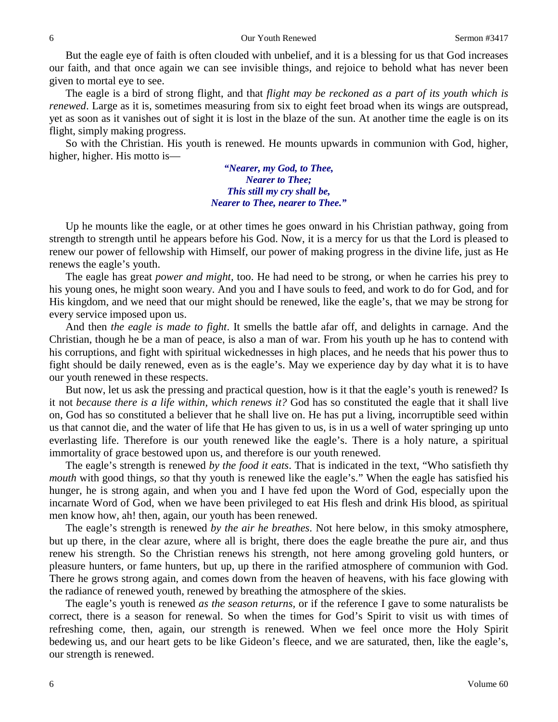But the eagle eye of faith is often clouded with unbelief, and it is a blessing for us that God increases our faith, and that once again we can see invisible things, and rejoice to behold what has never been given to mortal eye to see.

The eagle is a bird of strong flight, and that *flight may be reckoned as a part of its youth which is renewed*. Large as it is, sometimes measuring from six to eight feet broad when its wings are outspread, yet as soon as it vanishes out of sight it is lost in the blaze of the sun. At another time the eagle is on its flight, simply making progress.

So with the Christian. His youth is renewed. He mounts upwards in communion with God, higher, higher, higher. His motto is—

> *"Nearer, my God, to Thee, Nearer to Thee; This still my cry shall be, Nearer to Thee, nearer to Thee."*

Up he mounts like the eagle, or at other times he goes onward in his Christian pathway, going from strength to strength until he appears before his God. Now, it is a mercy for us that the Lord is pleased to renew our power of fellowship with Himself, our power of making progress in the divine life, just as He renews the eagle's youth.

The eagle has great *power and might,* too. He had need to be strong, or when he carries his prey to his young ones, he might soon weary. And you and I have souls to feed, and work to do for God, and for His kingdom, and we need that our might should be renewed, like the eagle's, that we may be strong for every service imposed upon us.

And then *the eagle is made to fight*. It smells the battle afar off, and delights in carnage. And the Christian, though he be a man of peace, is also a man of war. From his youth up he has to contend with his corruptions, and fight with spiritual wickednesses in high places, and he needs that his power thus to fight should be daily renewed, even as is the eagle's. May we experience day by day what it is to have our youth renewed in these respects.

But now, let us ask the pressing and practical question, how is it that the eagle's youth is renewed? Is it not *because there is a life within, which renews it?* God has so constituted the eagle that it shall live on, God has so constituted a believer that he shall live on. He has put a living, incorruptible seed within us that cannot die, and the water of life that He has given to us, is in us a well of water springing up unto everlasting life. Therefore is our youth renewed like the eagle's. There is a holy nature, a spiritual immortality of grace bestowed upon us, and therefore is our youth renewed.

The eagle's strength is renewed *by the food it eats*. That is indicated in the text, "Who satisfieth thy *mouth* with good things, *so* that thy youth is renewed like the eagle's." When the eagle has satisfied his hunger, he is strong again, and when you and I have fed upon the Word of God, especially upon the incarnate Word of God, when we have been privileged to eat His flesh and drink His blood, as spiritual men know how, ah! then, again, our youth has been renewed.

The eagle's strength is renewed *by the air he breathes*. Not here below, in this smoky atmosphere, but up there, in the clear azure, where all is bright, there does the eagle breathe the pure air, and thus renew his strength. So the Christian renews his strength, not here among groveling gold hunters, or pleasure hunters, or fame hunters, but up, up there in the rarified atmosphere of communion with God. There he grows strong again, and comes down from the heaven of heavens, with his face glowing with the radiance of renewed youth, renewed by breathing the atmosphere of the skies.

The eagle's youth is renewed *as the season returns,* or if the reference I gave to some naturalists be correct, there is a season for renewal. So when the times for God's Spirit to visit us with times of refreshing come, then, again, our strength is renewed. When we feel once more the Holy Spirit bedewing us, and our heart gets to be like Gideon's fleece, and we are saturated, then, like the eagle's, our strength is renewed.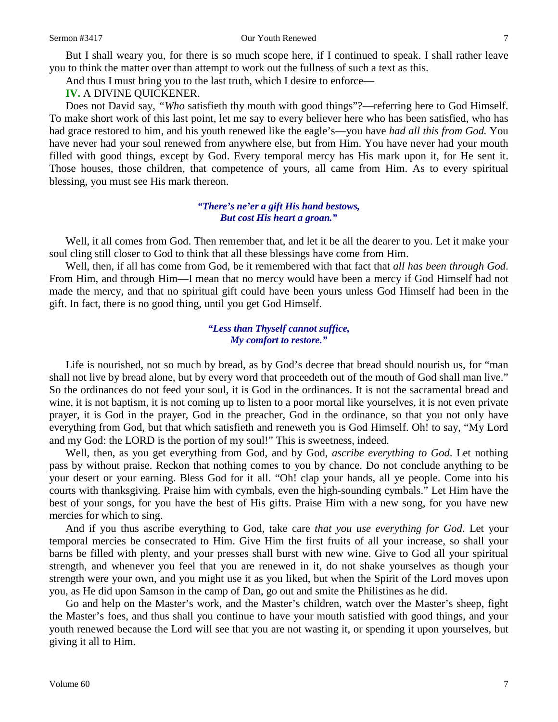#### Sermon #3417 **Our Youth Renewed** 7

But I shall weary you, for there is so much scope here, if I continued to speak. I shall rather leave you to think the matter over than attempt to work out the fullness of such a text as this.

And thus I must bring you to the last truth, which I desire to enforce—

**IV.** A DIVINE QUICKENER.

Does not David say, *"Who* satisfieth thy mouth with good things"?—referring here to God Himself. To make short work of this last point, let me say to every believer here who has been satisfied, who has had grace restored to him, and his youth renewed like the eagle's—you have *had all this from God.* You have never had your soul renewed from anywhere else, but from Him. You have never had your mouth filled with good things, except by God. Every temporal mercy has His mark upon it, for He sent it. Those houses, those children, that competence of yours, all came from Him. As to every spiritual blessing, you must see His mark thereon.

### *"There's ne'er a gift His hand bestows, But cost His heart a groan."*

Well, it all comes from God. Then remember that, and let it be all the dearer to you. Let it make your soul cling still closer to God to think that all these blessings have come from Him.

Well, then, if all has come from God, be it remembered with that fact that *all has been through God*. From Him, and through Him—I mean that no mercy would have been a mercy if God Himself had not made the mercy, and that no spiritual gift could have been yours unless God Himself had been in the gift. In fact, there is no good thing, until you get God Himself.

### *"Less than Thyself cannot suffice, My comfort to restore."*

Life is nourished, not so much by bread, as by God's decree that bread should nourish us, for "man shall not live by bread alone, but by every word that proceedeth out of the mouth of God shall man live." So the ordinances do not feed your soul, it is God in the ordinances. It is not the sacramental bread and wine, it is not baptism, it is not coming up to listen to a poor mortal like yourselves, it is not even private prayer, it is God in the prayer, God in the preacher, God in the ordinance, so that you not only have everything from God, but that which satisfieth and reneweth you is God Himself. Oh! to say, "My Lord and my God: the LORD is the portion of my soul!" This is sweetness, indeed.

Well, then, as you get everything from God, and by God, *ascribe everything to God*. Let nothing pass by without praise. Reckon that nothing comes to you by chance. Do not conclude anything to be your desert or your earning. Bless God for it all. "Oh! clap your hands, all ye people. Come into his courts with thanksgiving. Praise him with cymbals, even the high-sounding cymbals." Let Him have the best of your songs, for you have the best of His gifts. Praise Him with a new song, for you have new mercies for which to sing.

And if you thus ascribe everything to God, take care *that you use everything for God*. Let your temporal mercies be consecrated to Him. Give Him the first fruits of all your increase, so shall your barns be filled with plenty, and your presses shall burst with new wine. Give to God all your spiritual strength, and whenever you feel that you are renewed in it, do not shake yourselves as though your strength were your own, and you might use it as you liked, but when the Spirit of the Lord moves upon you, as He did upon Samson in the camp of Dan, go out and smite the Philistines as he did.

Go and help on the Master's work, and the Master's children, watch over the Master's sheep, fight the Master's foes, and thus shall you continue to have your mouth satisfied with good things, and your youth renewed because the Lord will see that you are not wasting it, or spending it upon yourselves, but giving it all to Him.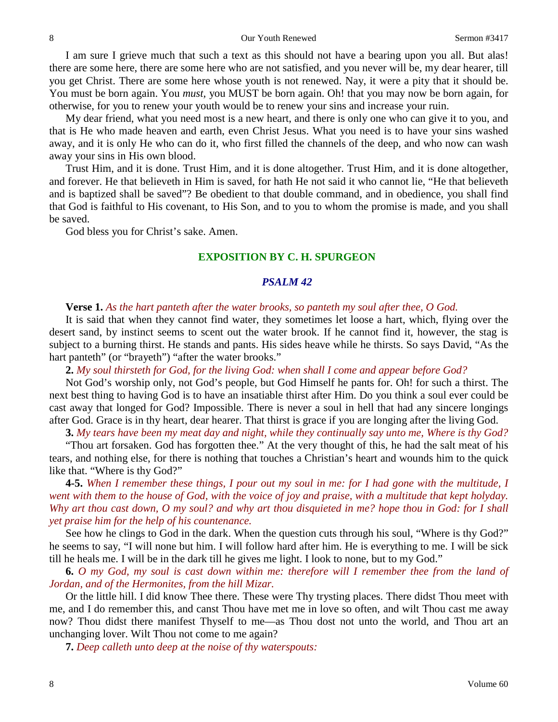I am sure I grieve much that such a text as this should not have a bearing upon you all. But alas! there are some here, there are some here who are not satisfied, and you never will be, my dear hearer, till you get Christ. There are some here whose youth is not renewed. Nay, it were a pity that it should be. You must be born again. You *must*, you MUST be born again. Oh! that you may now be born again, for otherwise, for you to renew your youth would be to renew your sins and increase your ruin.

My dear friend, what you need most is a new heart, and there is only one who can give it to you, and that is He who made heaven and earth, even Christ Jesus. What you need is to have your sins washed away, and it is only He who can do it, who first filled the channels of the deep, and who now can wash away your sins in His own blood.

Trust Him, and it is done. Trust Him, and it is done altogether. Trust Him, and it is done altogether, and forever. He that believeth in Him is saved, for hath He not said it who cannot lie, "He that believeth and is baptized shall be saved"? Be obedient to that double command, and in obedience, you shall find that God is faithful to His covenant, to His Son, and to you to whom the promise is made, and you shall be saved.

God bless you for Christ's sake. Amen.

# **EXPOSITION BY C. H. SPURGEON**

#### *PSALM 42*

### **Verse 1.** *As the hart panteth after the water brooks, so panteth my soul after thee, O God.*

It is said that when they cannot find water, they sometimes let loose a hart, which, flying over the desert sand, by instinct seems to scent out the water brook. If he cannot find it, however, the stag is subject to a burning thirst. He stands and pants. His sides heave while he thirsts. So says David, "As the hart panteth" (or "brayeth") "after the water brooks."

**2.** *My soul thirsteth for God, for the living God: when shall I come and appear before God?*

Not God's worship only, not God's people, but God Himself he pants for. Oh! for such a thirst. The next best thing to having God is to have an insatiable thirst after Him. Do you think a soul ever could be cast away that longed for God? Impossible. There is never a soul in hell that had any sincere longings after God. Grace is in thy heart, dear hearer. That thirst is grace if you are longing after the living God.

**3.** *My tears have been my meat day and night, while they continually say unto me, Where is thy God?*

"Thou art forsaken. God has forgotten thee." At the very thought of this, he had the salt meat of his tears, and nothing else, for there is nothing that touches a Christian's heart and wounds him to the quick like that. "Where is thy God?"

**4-5.** *When I remember these things, I pour out my soul in me: for I had gone with the multitude, I went with them to the house of God, with the voice of joy and praise, with a multitude that kept holyday. Why art thou cast down, O my soul? and why art thou disquieted in me? hope thou in God: for I shall yet praise him for the help of his countenance.*

See how he clings to God in the dark. When the question cuts through his soul, "Where is thy God?" he seems to say, "I will none but him. I will follow hard after him. He is everything to me. I will be sick till he heals me. I will be in the dark till he gives me light. I look to none, but to my God."

**6.** *O my God, my soul is cast down within me: therefore will I remember thee from the land of Jordan, and of the Hermonites, from the hill Mizar.*

Or the little hill. I did know Thee there. These were Thy trysting places. There didst Thou meet with me, and I do remember this, and canst Thou have met me in love so often, and wilt Thou cast me away now? Thou didst there manifest Thyself to me—as Thou dost not unto the world, and Thou art an unchanging lover. Wilt Thou not come to me again?

**7.** *Deep calleth unto deep at the noise of thy waterspouts:*